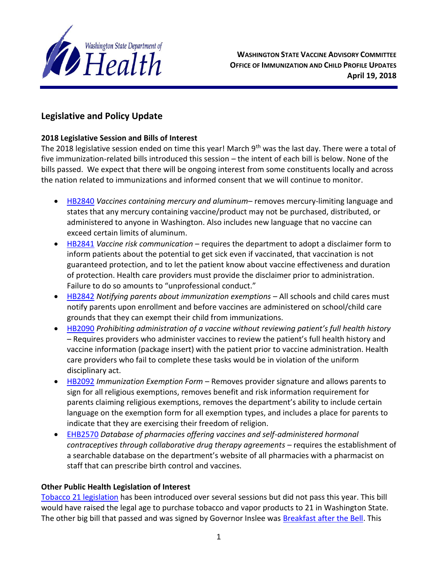

# **Legislative and Policy Update**

#### **2018 Legislative Session and Bills of Interest**

The 2018 legislative session ended on time this year! March 9<sup>th</sup> was the last day. There were a total of five immunization-related bills introduced this session – the intent of each bill is below. None of the bills passed. We expect that there will be ongoing interest from some constituents locally and across the nation related to immunizations and informed consent that we will continue to monitor.

- [HB2840](http://lawfilesext.leg.wa.gov/biennium/2017-18/Pdf/Bills/House%20Bills/2840.pdf) *Vaccines containing mercury and aluminum* removes mercury-limiting language and states that any mercury containing vaccine/product may not be purchased, distributed, or administered to anyone in Washington. Also includes new language that no vaccine can exceed certain limits of aluminum.
- [HB2841](http://lawfilesext.leg.wa.gov/biennium/2017-18/Pdf/Bills/House%20Bills/2840.pdf) *Vaccine risk communication* requires the department to adopt a disclaimer form to inform patients about the potential to get sick even if vaccinated, that vaccination is not guaranteed protection, and to let the patient know about vaccine effectiveness and duration of protection. Health care providers must provide the disclaimer prior to administration. Failure to do so amounts to "unprofessional conduct."
- [HB2842](http://lawfilesext.leg.wa.gov/biennium/2017-18/Pdf/Bills/House%20Bills/2842.pdf) *Notifying parents about immunization exemptions* All schools and child cares must notify parents upon enrollment and before vaccines are administered on school/child care grounds that they can exempt their child from immunizations.
- [HB2090](http://lawfilesext.leg.wa.gov/biennium/2017-18/Pdf/Bills/House%20Bills/2090.pdf) *Prohibiting administration of a vaccine without reviewing patient's full health history –* Requires providers who administer vaccines to review the patient's full health history and vaccine information (package insert) with the patient prior to vaccine administration. Health care providers who fail to complete these tasks would be in violation of the uniform disciplinary act.
- [HB2092](http://lawfilesext.leg.wa.gov/biennium/2017-18/Pdf/Bills/House%20Bills/2092.pdf) *Immunization Exemption Form* Removes provider signature and allows parents to sign for all religious exemptions, removes benefit and risk information requirement for parents claiming religious exemptions, removes the department's ability to include certain language on the exemption form for all exemption types, and includes a place for parents to indicate that they are exercising their freedom of religion.
- [EHB2570](http://lawfilesext.leg.wa.gov/biennium/2017-18/Pdf/Bills/House%20Bills/2570.E.pdf) *Database of pharmacies offering vaccines and self-administered hormonal contraceptives through collaborative drug therapy agreements –* requires the establishment of a searchable database on the department's website of all pharmacies with a pharmacist on staff that can prescribe birth control and vaccines.

#### **Other Public Health Legislation of Interest**

[Tobacco 21 legislation](http://lawfilesext.leg.wa.gov/biennium/2017-18/Pdf/Bills/House%20Bills/1054-S.pdf) has been introduced over several sessions but did not pass this year. This bill would have raised the legal age to purchase tobacco and vapor products to 21 in Washington State. The other big bill that passed and was signed by Governor Inslee was [Breakfast after the Bell.](https://medium.com/wagovernor/new-law-offers-breakfast-after-the-bell-program-for-hungry-students-b139b3d75d25) This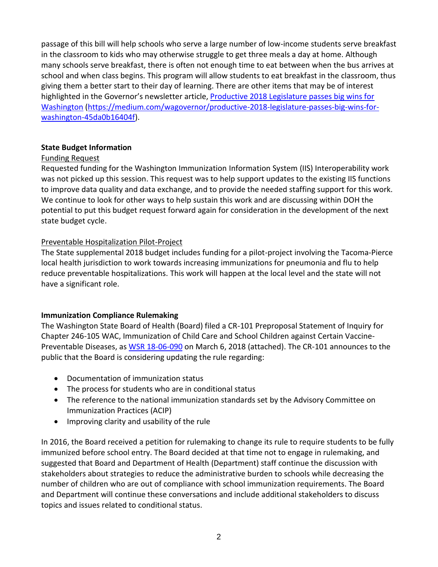passage of this bill will help schools who serve a large number of low-income students serve breakfast in the classroom to kids who may otherwise struggle to get three meals a day at home. Although many schools serve breakfast, there is often not enough time to eat between when the bus arrives at school and when class begins. This program will allow students to eat breakfast in the classroom, thus giving them a better start to their day of learning. There are other items that may be of interest highlighted in the Governor's newsletter article, [Productive 2018 Legislature passes big wins for](https://medium.com/wagovernor/productive-2018-legislature-passes-big-wins-for-washington-45da0b16404f)  [Washington](https://medium.com/wagovernor/productive-2018-legislature-passes-big-wins-for-washington-45da0b16404f) [\(https://medium.com/wagovernor/productive-2018-legislature-passes-big-wins-for](https://medium.com/wagovernor/productive-2018-legislature-passes-big-wins-for-washington-45da0b16404f)[washington-45da0b16404f\)](https://medium.com/wagovernor/productive-2018-legislature-passes-big-wins-for-washington-45da0b16404f).

#### **State Budget Information**

## Funding Request

Requested funding for the Washington Immunization Information System (IIS) Interoperability work was not picked up this session. This request was to help support updates to the existing IIS functions to improve data quality and data exchange, and to provide the needed staffing support for this work. We continue to look for other ways to help sustain this work and are discussing within DOH the potential to put this budget request forward again for consideration in the development of the next state budget cycle.

## Preventable Hospitalization Pilot-Project

The State supplemental 2018 budget includes funding for a pilot-project involving the Tacoma-Pierce local health jurisdiction to work towards increasing immunizations for pneumonia and flu to help reduce preventable hospitalizations. This work will happen at the local level and the state will not have a significant role.

#### **Immunization Compliance Rulemaking**

The Washington State Board of Health (Board) filed a CR-101 Preproposal Statement of Inquiry for Chapter 246-105 WAC, Immunization of Child Care and School Children against Certain Vaccine-Preventable Diseases, as [WSR 18-06-090](http://lawfilesext.leg.wa.gov/law/wsr/2018/06/18-06-090.htm) on March 6, 2018 (attached). The CR-101 announces to the public that the Board is considering updating the rule regarding:

- Documentation of immunization status
- The process for students who are in conditional status
- The reference to the national immunization standards set by the Advisory Committee on Immunization Practices (ACIP)
- Improving clarity and usability of the rule

In 2016, the Board received a petition for rulemaking to change its rule to require students to be fully immunized before school entry. The Board decided at that time not to engage in rulemaking, and suggested that Board and Department of Health (Department) staff continue the discussion with stakeholders about strategies to reduce the administrative burden to schools while decreasing the number of children who are out of compliance with school immunization requirements. The Board and Department will continue these conversations and include additional stakeholders to discuss topics and issues related to conditional status.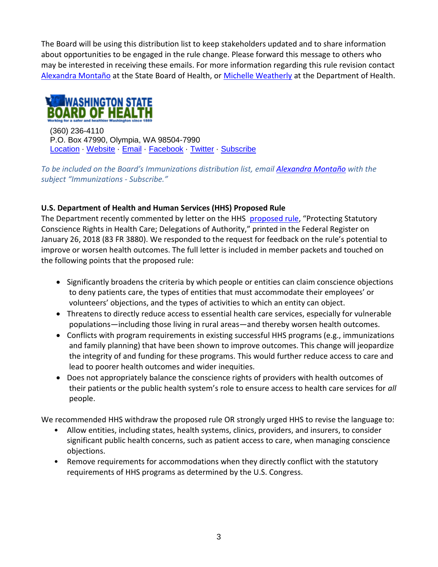The Board will be using this distribution list to keep stakeholders updated and to share information about opportunities to be engaged in the rule change. Please forward this message to others who may be interested in receiving these emails. For more information regarding this rule revision contact [Alexandra Montaño](mailto:alexandra.montano@sboh.wa.gov?subject=CR-101%20Alert%20-%20Rule%20Modification%20Chapter%20246-105%20WAC%20(Immunizations)) at the State Board of Health, or [Michelle Weatherly](mailto:michelle.weatherly@doh.wa.gov?subject=CR-101%20Alert%20-%20Rule%20Modification%20246-105%20WAC%20(Immunizations)) at the Department of Health.



 (360) 236-4110 P.O. Box 47990, Olympia, WA 98504-7990 [Location](https://www.google.com/maps/place/101+Israel+Rd+SE,+Tumwater,+WA+98501/@46.9850435,-122.9083621,17z/data=!3m1!4b1!4m5!3m4!1s0x549173f074205aa3:0x552ddc5f79ee44b6!8m2!3d46.9850435!4d-122.9061681?hl=en) [Website](http://sboh.wa.gov/) [Email](mailto:wsboh@sboh.wa.gov) [Facebook](http://www.facebook.com/WashingtonStateBoardofHealth) [Twitter](https://twitter.com/WASBOH) [Subscribe](mailto:wsboh@sboh.wa.gov?subject=Please%20Add%20My%20Name%20to%20the%20WSBOH%20Email%20Distribution%20List)

*To be included on the Board's Immunizations distribution list, email [Alexandra Montaño](mailto:alexandra.montano@sboh.wa.gov?subject=CR-101%20Alert%20-%20Rule%20Modification%20Chapter%20246-105%20WAC%20(Immunizations)) with the subject "Immunizations - Subscribe."*

#### **U.S. Department of Health and Human Services (HHS) Proposed Rule**

The Department recently commented by letter on the HHS [proposed rule,](https://s3.amazonaws.com/public-inspection.federalregister.gov/2018-01226.pdf) "Protecting Statutory Conscience Rights in Health Care; Delegations of Authority," printed in the Federal Register on January 26, 2018 (83 FR 3880). We responded to the request for feedback on the rule's potential to improve or worsen health outcomes. The full letter is included in member packets and touched on the following points that the proposed rule:

- Significantly broadens the criteria by which people or entities can claim conscience objections to deny patients care, the types of entities that must accommodate their employees' or volunteers' objections, and the types of activities to which an entity can object.
- Threatens to directly reduce access to essential health care services, especially for vulnerable populations—including those living in rural areas—and thereby worsen health outcomes.
- Conflicts with program requirements in existing successful HHS programs (e.g., immunizations and family planning) that have been shown to improve outcomes. This change will jeopardize the integrity of and funding for these programs. This would further reduce access to care and lead to poorer health outcomes and wider inequities.
- Does not appropriately balance the conscience rights of providers with health outcomes of their patients or the public health system's role to ensure access to health care services for *all*  people.

We recommended HHS withdraw the proposed rule OR strongly urged HHS to revise the language to:

- Allow entities, including states, health systems, clinics, providers, and insurers, to consider significant public health concerns, such as patient access to care, when managing conscience objections.
- Remove requirements for accommodations when they directly conflict with the statutory requirements of HHS programs as determined by the U.S. Congress.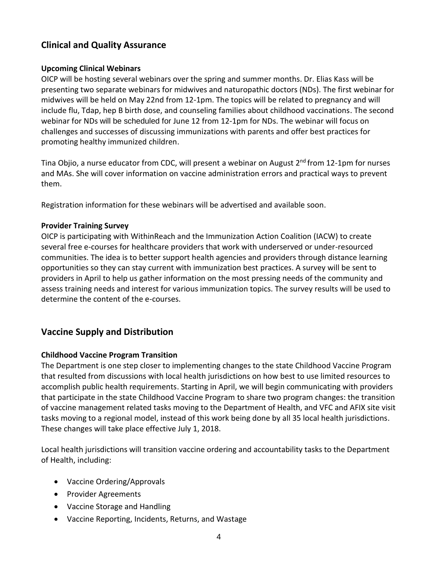# **Clinical and Quality Assurance**

### **Upcoming Clinical Webinars**

OICP will be hosting several webinars over the spring and summer months. Dr. Elias Kass will be presenting two separate webinars for midwives and naturopathic doctors (NDs). The first webinar for midwives will be held on May 22nd from 12-1pm. The topics will be related to pregnancy and will include flu, Tdap, hep B birth dose, and counseling families about childhood vaccinations. The second webinar for NDs will be scheduled for June 12 from 12-1pm for NDs. The webinar will focus on challenges and successes of discussing immunizations with parents and offer best practices for promoting healthy immunized children.

Tina Objio, a nurse educator from CDC, will present a webinar on August 2<sup>nd</sup> from 12-1pm for nurses and MAs. She will cover information on vaccine administration errors and practical ways to prevent them.

Registration information for these webinars will be advertised and available soon.

#### **Provider Training Survey**

OICP is participating with WithinReach and the Immunization Action Coalition (IACW) to create several free e-courses for healthcare providers that work with underserved or under-resourced communities. The idea is to better support health agencies and providers through distance learning opportunities so they can stay current with immunization best practices. A survey will be sent to providers in April to help us gather information on the most pressing needs of the community and assess training needs and interest for various immunization topics. The survey results will be used to determine the content of the e-courses.

# **Vaccine Supply and Distribution**

#### **Childhood Vaccine Program Transition**

The Department is one step closer to implementing changes to the state Childhood Vaccine Program that resulted from discussions with local health jurisdictions on how best to use limited resources to accomplish public health requirements. Starting in April, we will begin communicating with providers that participate in the state Childhood Vaccine Program to share two program changes: the transition of vaccine management related tasks moving to the Department of Health, and VFC and AFIX site visit tasks moving to a regional model, instead of this work being done by all 35 local health jurisdictions. These changes will take place effective July 1, 2018.

Local health jurisdictions will transition vaccine ordering and accountability tasks to the Department of Health, including:

- Vaccine Ordering/Approvals
- Provider Agreements
- Vaccine Storage and Handling
- Vaccine Reporting, Incidents, Returns, and Wastage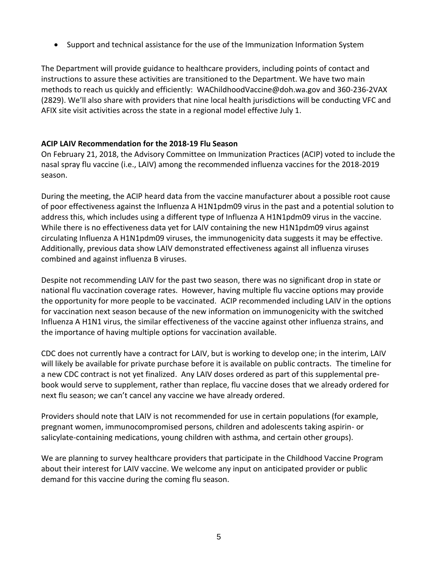Support and technical assistance for the use of the Immunization Information System

The Department will provide guidance to healthcare providers, including points of contact and instructions to assure these activities are transitioned to the Department. We have two main methods to reach us quickly and efficiently: [WAChildhoodVaccine@doh.wa.gov](mailto:WAChildhoodVaccine@doh.wa.gov) and 360-236-2VAX (2829). We'll also share with providers that nine local health jurisdictions will be conducting VFC and AFIX site visit activities across the state in a regional model effective July 1.

## **ACIP LAIV Recommendation for the 2018-19 Flu Season**

On February 21, 2018, the Advisory Committee on Immunization Practices (ACIP) voted to include the nasal spray flu vaccine (i.e., LAIV) among the recommended influenza vaccines for the 2018-2019 season.

During the meeting, the ACIP heard data from the vaccine manufacturer about a possible root cause of poor effectiveness against the Influenza A H1N1pdm09 virus in the past and a potential solution to address this, which includes using a different type of Influenza A H1N1pdm09 virus in the vaccine. While there is no effectiveness data yet for LAIV containing the new H1N1pdm09 virus against circulating Influenza A H1N1pdm09 viruses, the immunogenicity data suggests it may be effective. Additionally, previous data show LAIV demonstrated effectiveness against all influenza viruses combined and against influenza B viruses.

Despite not recommending LAIV for the past two season, there was no significant drop in state or national flu vaccination coverage rates. However, having multiple flu vaccine options may provide the opportunity for more people to be vaccinated. ACIP recommended including LAIV in the options for vaccination next season because of the new information on immunogenicity with the switched Influenza A H1N1 virus, the similar effectiveness of the vaccine against other influenza strains, and the importance of having multiple options for vaccination available.

CDC does not currently have a contract for LAIV, but is working to develop one; in the interim, LAIV will likely be available for private purchase before it is available on public contracts. The timeline for a new CDC contract is not yet finalized. Any LAIV doses ordered as part of this supplemental prebook would serve to supplement, rather than replace, flu vaccine doses that we already ordered for next flu season; we can't cancel any vaccine we have already ordered.

Providers should note that LAIV is not recommended for use in certain populations (for example, pregnant women, immunocompromised persons, children and adolescents taking aspirin- or salicylate-containing medications, young children with asthma, and certain other groups).

We are planning to survey healthcare providers that participate in the Childhood Vaccine Program about their interest for LAIV vaccine. We welcome any input on anticipated provider or public demand for this vaccine during the coming flu season.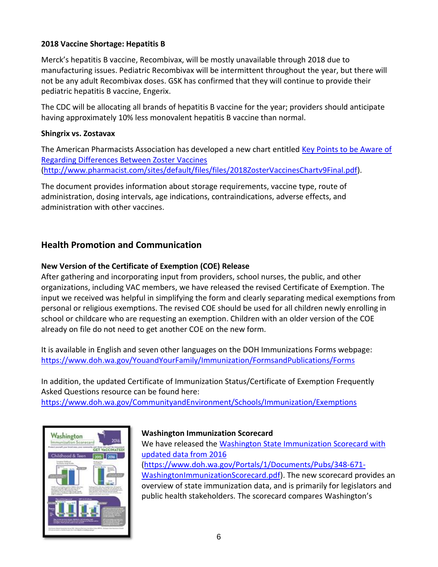## **2018 Vaccine Shortage: Hepatitis B**

Merck's hepatitis B vaccine, Recombivax, will be mostly unavailable through 2018 due to manufacturing issues. Pediatric Recombivax will be intermittent throughout the year, but there will not be any adult Recombivax doses. GSK has confirmed that they will continue to provide their pediatric hepatitis B vaccine, Engerix.

The CDC will be allocating all brands of hepatitis B vaccine for the year; providers should anticipate having approximately 10% less monovalent hepatitis B vaccine than normal.

#### **Shingrix vs. Zostavax**

The American Pharmacists Association has developed a new chart entitled Key Points to be Aware of [Regarding Differences Between Zoster Vaccines](http://links.govdelivery.com/track?type=click&enid=ZWFzPTEmbXNpZD0mYXVpZD0mbWFpbGluZ2lkPTIwMTgwMzAyLjg2Mjc0MjUxJm1lc3NhZ2VpZD1NREItUFJELUJVTC0yMDE4MDMwMi44NjI3NDI1MSZkYXRhYmFzZWlkPTEwMDEmc2VyaWFsPTE3MDc4MTk0JmVtYWlsaWQ9c2hlYW5uZS5hbGxlbkBkb2gud2EuZ292JnVzZXJpZD1zaGVhbm5lLmFsbGVuQGRvaC53YS5nb3YmdGFyZ2V0aWQ9JmZsPSZleHRyYT1NdWx0aXZhcmlhdGVJZD0mJiY=&&&104&&&http://www.pharmacist.com/sites/default/files/files/2018ZosterVaccinesChartv9Final.pdf) [\(http://www.pharmacist.com/sites/default/files/files/2018ZosterVaccinesChartv9Final.pdf\)](http://www.pharmacist.com/sites/default/files/files/2018ZosterVaccinesChartv9Final.pdf).

The document provides information about storage requirements, vaccine type, route of administration, dosing intervals, age indications, contraindications, adverse effects, and administration with other vaccines.

# **Health Promotion and Communication**

# **New Version of the Certificate of Exemption (COE) Release**

After gathering and incorporating input from providers, school nurses, the public, and other organizations, including VAC members, we have released the revised Certificate of Exemption. The input we received was helpful in simplifying the form and clearly separating medical exemptions from personal or religious exemptions. The revised COE should be used for all children newly enrolling in school or childcare who are requesting an exemption. Children with an older version of the COE already on file do not need to get another COE on the new form.

It is available in English and seven other languages on the DOH Immunizations Forms webpage: <https://www.doh.wa.gov/YouandYourFamily/Immunization/FormsandPublications/Forms>

In addition, the updated Certificate of Immunization Status/Certificate of Exemption Frequently Asked Questions resource can be found here: <https://www.doh.wa.gov/CommunityandEnvironment/Schools/Immunization/Exemptions>



#### **Washington Immunization Scorecard**

We have released the [Washington State Immunization Scorecard with](https://www.doh.wa.gov/Portals/1/Documents/Pubs/348-671-WashingtonImmunizationScorecard.pdf)  [updated data from 2016](https://www.doh.wa.gov/Portals/1/Documents/Pubs/348-671-WashingtonImmunizationScorecard.pdf) [\(https://www.doh.wa.gov/Portals/1/Documents/Pubs/348-671-](https://www.doh.wa.gov/Portals/1/Documents/Pubs/348-671-WashingtonImmunizationScorecard.pdf) [WashingtonImmunizationScorecard.pdf\)](https://www.doh.wa.gov/Portals/1/Documents/Pubs/348-671-WashingtonImmunizationScorecard.pdf). The new scorecard provides an overview of state immunization data, and is primarily for legislators and public health stakeholders. The scorecard compares Washington's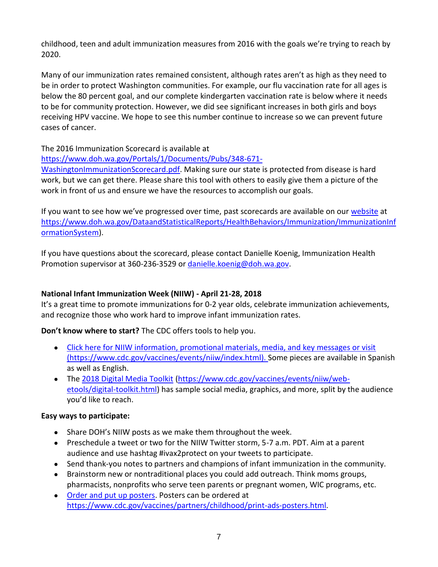childhood, teen and adult immunization measures from 2016 with the goals we're trying to reach by 2020.

Many of our immunization rates remained consistent, although rates aren't as high as they need to be in order to protect Washington communities. For example, our flu vaccination rate for all ages is below the 80 percent goal, and our complete kindergarten vaccination rate is below where it needs to be for community protection. However, we did see significant increases in both girls and boys receiving HPV vaccine. We hope to see this number continue to increase so we can prevent future cases of cancer.

The 2016 Immunization Scorecard is available at

[https://www.doh.wa.gov/Portals/1/Documents/Pubs/348-671-](https://www.doh.wa.gov/Portals/1/Documents/Pubs/348-671-WashingtonImmunizationScorecard.pdf)

[WashingtonImmunizationScorecard.pdf.](https://www.doh.wa.gov/Portals/1/Documents/Pubs/348-671-WashingtonImmunizationScorecard.pdf) Making sure our state is protected from disease is hard work, but we can get there. Please share this tool with others to easily give them a picture of the work in front of us and ensure we have the resources to accomplish our goals.

If you want to see how we've progressed over time, past scorecards are available on our [website](https://www.doh.wa.gov/DataandStatisticalReports/HealthBehaviors/Immunization/ImmunizationInformationSystem) at [https://www.doh.wa.gov/DataandStatisticalReports/HealthBehaviors/Immunization/ImmunizationInf](https://www.doh.wa.gov/DataandStatisticalReports/HealthBehaviors/Immunization/ImmunizationInformationSystem) [ormationSystem\)](https://www.doh.wa.gov/DataandStatisticalReports/HealthBehaviors/Immunization/ImmunizationInformationSystem).

If you have questions about the scorecard, please contact Danielle Koenig, Immunization Health Promotion supervisor at 360-236-3529 or [danielle.koenig@doh.wa.gov.](mailto:danielle.koenig@doh.wa.gov)

# **National Infant Immunization Week (NIIW) - April 21-28, 2018**

It's a great time to promote immunizations for 0-2 year olds, celebrate immunization achievements, and recognize those who work hard to improve infant immunization rates.

# **Don't know where to start?** The CDC offers tools to help you.

- [Click here for NIIW information, promotional materials, media, and key messages or visit](Click%20here%20for%20NIIW%20information,%20promotional%20materials,%20media,%20and%20key%20messages%20or%20visit%20(https:/www.cdc.gov/vaccines/events/niiw/index.html).)  [\(https://www.cdc.gov/vaccines/events/niiw/index.html\). S](Click%20here%20for%20NIIW%20information,%20promotional%20materials,%20media,%20and%20key%20messages%20or%20visit%20(https:/www.cdc.gov/vaccines/events/niiw/index.html).)ome pieces are available in Spanish as well as English.
- The [2018 Digital Media Toolkit](https://www.cdc.gov/vaccines/events/niiw/web-etools/digital-toolkit.html) [\(https://www.cdc.gov/vaccines/events/niiw/web](https://www.cdc.gov/vaccines/events/niiw/web-etools/digital-toolkit.html)[etools/digital-toolkit.html\)](https://www.cdc.gov/vaccines/events/niiw/web-etools/digital-toolkit.html) has sample social media, graphics, and more, split by the audience you'd like to reach.

#### **Easy ways to participate:**

- Share DOH's NIIW posts as we make them throughout the week.
- Preschedule a tweet or two for the NIIW Twitter storm, 5-7 a.m. PDT. Aim at a parent audience and use hashtag #ivax2protect on your tweets to participate.
- Send thank-you notes to partners and champions of infant immunization in the community.
- Brainstorm new or nontraditional places you could add outreach. Think moms groups, pharmacists, nonprofits who serve teen parents or pregnant women, WIC programs, etc.
- [Order and put up posters.](https://www.cdc.gov/vaccines/partners/childhood/print-ads-posters.html) Posters can be ordered at [https://www.cdc.gov/vaccines/partners/childhood/print-ads-posters.html.](https://www.cdc.gov/vaccines/partners/childhood/print-ads-posters.html)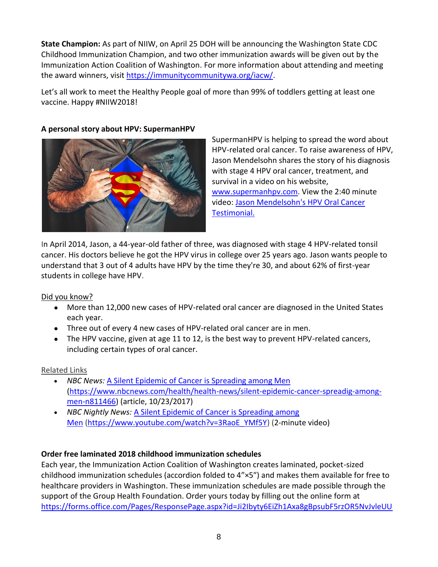**State Champion:** As part of NIIW, on April 25 DOH will be announcing the Washington State CDC Childhood Immunization Champion, and two other immunization awards will be given out by the Immunization Action Coalition of Washington. For more information about attending and meeting the award winners, visit [https://immunitycommunitywa.org/iacw/.](https://immunitycommunitywa.org/iacw/)

Let's all work to meet the Healthy People goal of more than 99% of toddlers getting at least one vaccine. Happy #NIIW2018!

### **A personal story about HPV: SupermanHPV**



SupermanHPV is helping to spread the word about HPV-related oral cancer. To raise awareness of HPV, Jason Mendelsohn shares the story of his diagnosis with stage 4 HPV oral cancer, treatment, and survival in a video on his website, [www.supermanhpv.com.](http://www.supermanhpv.com/) View the 2:40 minute video: [Jason Mendelsohn's HPV Oral Cancer](https://supermanhpv.com/watch-my-video/)  [Testimonial.](https://supermanhpv.com/watch-my-video/)

In April 2014, Jason, a 44-year-old father of three, was diagnosed with stage 4 HPV-related tonsil cancer. His doctors believe he got the HPV virus in college over 25 years ago. Jason wants people to understand that 3 out of 4 adults have HPV by the time they're 30, and about 62% of first-year students in college have HPV.

# Did you know?

- More than 12,000 new cases of HPV-related oral cancer are diagnosed in the United States each year.
- Three out of every 4 new cases of HPV-related oral cancer are in men.
- The HPV vaccine, given at age 11 to 12, is the best way to prevent HPV-related cancers, including certain types of oral cancer.

#### Related Links

- *NBC News:* [A Silent Epidemic of Cancer is Spreading among Men](https://www.nbcnews.com/health/health-news/silent-epidemic-cancer-spreadig-among-men-n811466) [\(https://www.nbcnews.com/health/health-news/silent-epidemic-cancer-spreadig-among](https://www.nbcnews.com/health/health-news/silent-epidemic-cancer-spreadig-among-men-n811466)[men-n811466\)](https://www.nbcnews.com/health/health-news/silent-epidemic-cancer-spreadig-among-men-n811466) (article, 10/23/2017)
- *NBC Nightly News:* [A Silent Epidemic of Cancer is Spreading among](https://www.youtube.com/watch?time_continue=9&v=3RaoE_YMf5Y)  [Men](https://www.youtube.com/watch?time_continue=9&v=3RaoE_YMf5Y) [\(https://www.youtube.com/watch?v=3RaoE\\_YMf5Y\)](https://www.youtube.com/watch?v=3RaoE_YMf5Y) (2-minute video)

# **Order free laminated 2018 childhood immunization schedules**

Each year, the Immunization Action Coalition of Washington creates laminated, pocket-sized childhood immunization schedules (accordion folded to 4"×5″) and makes them available for free to healthcare providers in Washington. These immunization schedules are made possible through the support of the Group Health Foundation. Order yours today by filling out the online form at [https://forms.office.com/Pages/ResponsePage.aspx?id=Ji2Ibyty6EiZh1Axa8gBpsubF5rzOR5NvJvleUU](https://forms.office.com/Pages/ResponsePage.aspx?id=Ji2Ibyty6EiZh1Axa8gBpsubF5rzOR5NvJvleUUG-d9URDBDSEVJNTJBUEpFM1c4Tk45WFlEQUYyQS4u)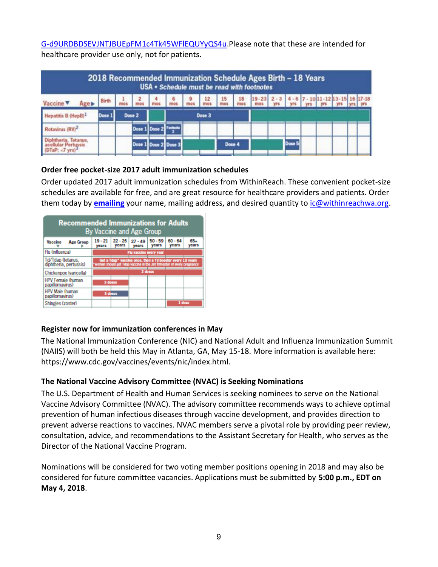[G-d9URDBDSEVJNTJBUEpFM1c4Tk45WFlEQUYyQS4u.](https://forms.office.com/Pages/ResponsePage.aspx?id=Ji2Ibyty6EiZh1Axa8gBpsubF5rzOR5NvJvleUUG-d9URDBDSEVJNTJBUEpFM1c4Tk45WFlEQUYyQS4u)Please note that these are intended for healthcare provider use only, not for patients.

|                                                                                                        |        |        |  |                      |             |             |                          |                          |                         | 2018 Recommended Immunization Schedule Ages Birth - 18 Years<br>USA . Schedule must be read with footnotes |        |  |                                           |  |
|--------------------------------------------------------------------------------------------------------|--------|--------|--|----------------------|-------------|-------------|--------------------------|--------------------------|-------------------------|------------------------------------------------------------------------------------------------------------|--------|--|-------------------------------------------|--|
| Vaccine <b>v</b>                                                                                       | Birth  |        |  |                      | $rac{6}{2}$ | $rac{9}{2}$ | $\frac{12}{\text{most}}$ | $\frac{15}{\text{most}}$ | $\frac{18}{\text{mos}}$ | $19 - 23$ 2 - 3                                                                                            |        |  | $4 - 6$ 7 - 10 11 - 12 13 - 15 16 17 - 18 |  |
| Hepatitis B (HepB) <sup>1</sup>                                                                        | Dose 1 | Dose 2 |  |                      | Dose 3      |             |                          |                          |                         |                                                                                                            |        |  |                                           |  |
| Rotavirus (RV) <sup>2</sup>                                                                            |        |        |  | Dose 1 Dose 2        |             |             |                          |                          |                         |                                                                                                            |        |  |                                           |  |
| Diphtheria, Tetanus,<br><b><i><u><b>Butar Pertussis</b></u></i></b><br>$[$ (DTaP; <7 yrs) <sup>3</sup> |        |        |  | Dose 1 Dose 2 Dose 3 |             |             |                          |                          | Dose 4                  |                                                                                                            | Dose 5 |  |                                           |  |

## **Order free pocket-size 2017 adult immunization schedules**

Order updated 2017 adult immunization schedules from WithinReach. These convenient pocket-size schedules are available for free, and are great resource for healthcare providers and patients. Order them today by **[emailing](mailto:ic@withinreachwa.org)** your name, mailing address, and desired quantity to [ic@withinreachwa.org.](mailto:ic@withinreachwa.org)

| <b>Recommended Immunizations for Adults</b><br>By Vaccine and Age Group |                                                                                                                                     |                    |                    |                    |                    |                |  |  |  |  |
|-------------------------------------------------------------------------|-------------------------------------------------------------------------------------------------------------------------------------|--------------------|--------------------|--------------------|--------------------|----------------|--|--|--|--|
| Vaccine<br><b>Age Group</b>                                             | $19 - 21$<br>years                                                                                                                  | $22 - 26$<br>years | $27 - 49$<br>years | $50 - 59$<br>years | $60 - 64$<br>vears | $65+$<br>years |  |  |  |  |
| Flu Gnfluenza)                                                          | Flu vaccine every year                                                                                                              |                    |                    |                    |                    |                |  |  |  |  |
| Td/Tdap (tetanus,<br>diphtheria, pertussis)                             | Get a Tdap* vaccine once, then a Td booster every 10 years<br>woman should get Tdap vaccine in the 3rd trimester of every pregnancy |                    |                    |                    |                    |                |  |  |  |  |
| Chickenpox (varicella)                                                  | 2 doses                                                                                                                             |                    |                    |                    |                    |                |  |  |  |  |
| <b>HPV Female (human</b><br>papillomavirus)                             | 3 doses                                                                                                                             |                    |                    |                    |                    |                |  |  |  |  |
| HPV Male (human<br>papillomavirus)                                      |                                                                                                                                     | 3 doses            |                    |                    |                    |                |  |  |  |  |
| Shingles (zoster)                                                       |                                                                                                                                     |                    |                    |                    | 1 doss             |                |  |  |  |  |

# **Register now for immunization conferences in May**

The National Immunization Conference (NIC) and National Adult and Influenza Immunization Summit (NAIIS) will both be held this May in Atlanta, GA, May 15-18. More information is available here: https://www.cdc.gov/vaccines/events/nic/index.html.

# **The National Vaccine Advisory Committee (NVAC) is Seeking Nominations**

The U.S. Department of Health and Human Services is seeking nominees to serve on the National Vaccine Advisory Committee (NVAC). The advisory committee recommends ways to achieve optimal prevention of human infectious diseases through vaccine development, and provides direction to prevent adverse reactions to vaccines. NVAC members serve a pivotal role by providing peer review, consultation, advice, and recommendations to the Assistant Secretary for Health, who serves as the Director of the National Vaccine Program.

Nominations will be considered for two voting member positions opening in 2018 and may also be considered for future committee vacancies. Applications must be submitted by **5:00 p.m., EDT on May 4, 2018**.